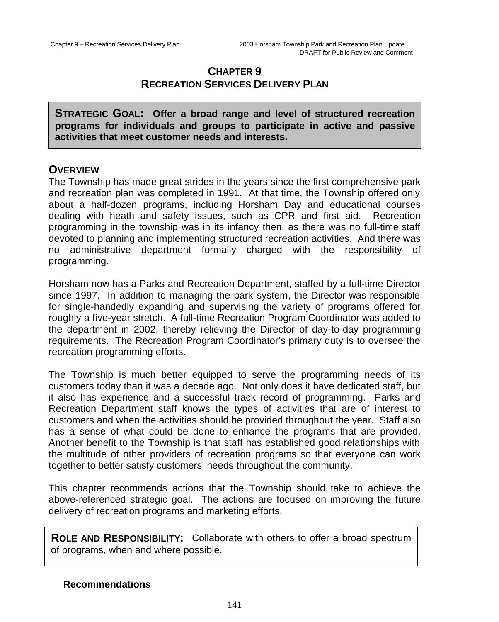# **CHAPTER 9 RECREATION SERVICES DELIVERY PLAN**

**STRATEGIC GOAL: Offer a broad range and level of structured recreation programs for individuals and groups to participate in active and passive activities that meet customer needs and interests.**

## **OVERVIEW**

The Township has made great strides in the years since the first comprehensive park and recreation plan was completed in 1991. At that time, the Township offered only about a half-dozen programs, including Horsham Day and educational courses dealing with heath and safety issues, such as CPR and first aid. Recreation programming in the township was in its infancy then, as there was no full-time staff devoted to planning and implementing structured recreation activities. And there was no administrative department formally charged with the responsibility of programming.

Horsham now has a Parks and Recreation Department, staffed by a full-time Director since 1997. In addition to managing the park system, the Director was responsible for single-handedly expanding and supervising the variety of programs offered for roughly a five-year stretch. A full-time Recreation Program Coordinator was added to the department in 2002, thereby relieving the Director of day-to-day programming requirements. The Recreation Program Coordinator's primary duty is to oversee the recreation programming efforts.

The Township is much better equipped to serve the programming needs of its customers today than it was a decade ago. Not only does it have dedicated staff, but it also has experience and a successful track record of programming. Parks and Recreation Department staff knows the types of activities that are of interest to customers and when the activities should be provided throughout the year. Staff also has a sense of what could be done to enhance the programs that are provided. Another benefit to the Township is that staff has established good relationships with the multitude of other providers of recreation programs so that everyone can work together to better satisfy customers' needs throughout the community.

This chapter recommends actions that the Township should take to achieve the above-referenced strategic goal. The actions are focused on improving the future delivery of recreation programs and marketing efforts.

**ROLE AND RESPONSIBILITY:** Collaborate with others to offer a broad spectrum of programs, when and where possible.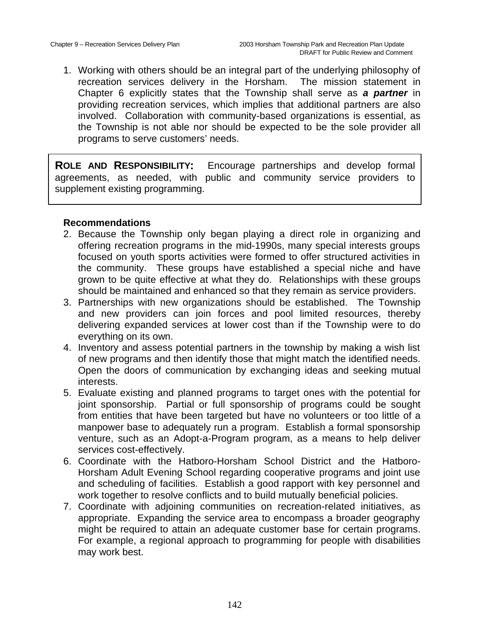1. Working with others should be an integral part of the underlying philosophy of recreation services delivery in the Horsham. The mission statement in Chapter 6 explicitly states that the Township shall serve as *a partner* in providing recreation services, which implies that additional partners are also involved. Collaboration with community-based organizations is essential, as the Township is not able nor should be expected to be the sole provider all programs to serve customers' needs.

**ROLE AND RESPONSIBILITY:** Encourage partnerships and develop formal agreements, as needed, with public and community service providers to supplement existing programming.

- 2. Because the Township only began playing a direct role in organizing and offering recreation programs in the mid-1990s, many special interests groups focused on youth sports activities were formed to offer structured activities in the community. These groups have established a special niche and have grown to be quite effective at what they do. Relationships with these groups should be maintained and enhanced so that they remain as service providers.
- 3. Partnerships with new organizations should be established. The Township and new providers can join forces and pool limited resources, thereby delivering expanded services at lower cost than if the Township were to do everything on its own.
- 4. Inventory and assess potential partners in the township by making a wish list of new programs and then identify those that might match the identified needs. Open the doors of communication by exchanging ideas and seeking mutual interests.
- 5. Evaluate existing and planned programs to target ones with the potential for joint sponsorship. Partial or full sponsorship of programs could be sought from entities that have been targeted but have no volunteers or too little of a manpower base to adequately run a program. Establish a formal sponsorship venture, such as an Adopt-a-Program program, as a means to help deliver services cost-effectively.
- 6. Coordinate with the Hatboro-Horsham School District and the Hatboro-Horsham Adult Evening School regarding cooperative programs and joint use and scheduling of facilities. Establish a good rapport with key personnel and work together to resolve conflicts and to build mutually beneficial policies.
- 7. Coordinate with adjoining communities on recreation-related initiatives, as appropriate. Expanding the service area to encompass a broader geography might be required to attain an adequate customer base for certain programs. For example, a regional approach to programming for people with disabilities may work best.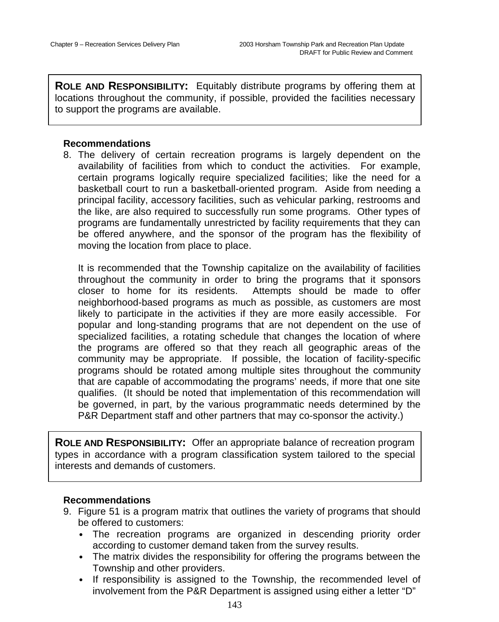**ROLE AND RESPONSIBILITY:** Equitably distribute programs by offering them at locations throughout the community, if possible, provided the facilities necessary to support the programs are available.

#### **Recommendations**

8. The delivery of certain recreation programs is largely dependent on the availability of facilities from which to conduct the activities. For example, certain programs logically require specialized facilities; like the need for a basketball court to run a basketball-oriented program. Aside from needing a principal facility, accessory facilities, such as vehicular parking, restrooms and the like, are also required to successfully run some programs. Other types of programs are fundamentally unrestricted by facility requirements that they can be offered anywhere, and the sponsor of the program has the flexibility of moving the location from place to place.

It is recommended that the Township capitalize on the availability of facilities throughout the community in order to bring the programs that it sponsors closer to home for its residents. Attempts should be made to offer neighborhood-based programs as much as possible, as customers are most likely to participate in the activities if they are more easily accessible. For popular and long-standing programs that are not dependent on the use of specialized facilities, a rotating schedule that changes the location of where the programs are offered so that they reach all geographic areas of the community may be appropriate. If possible, the location of facility-specific programs should be rotated among multiple sites throughout the community that are capable of accommodating the programs' needs, if more that one site qualifies. (It should be noted that implementation of this recommendation will be governed, in part, by the various programmatic needs determined by the P&R Department staff and other partners that may co-sponsor the activity.)

**ROLE AND RESPONSIBILITY:** Offer an appropriate balance of recreation program types in accordance with a program classification system tailored to the special interests and demands of customers.

- 9. Figure 51 is a program matrix that outlines the variety of programs that should be offered to customers:
	- The recreation programs are organized in descending priority order according to customer demand taken from the survey results.
	- The matrix divides the responsibility for offering the programs between the Township and other providers.
	- If responsibility is assigned to the Township, the recommended level of involvement from the P&R Department is assigned using either a letter "D"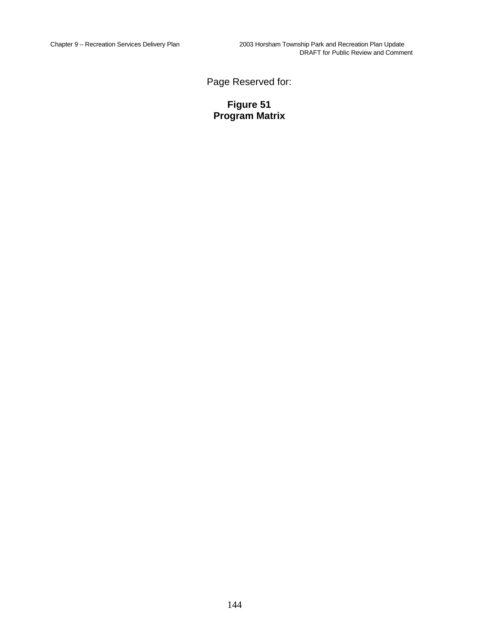Page Reserved for:

**Figure 51 Program Matrix**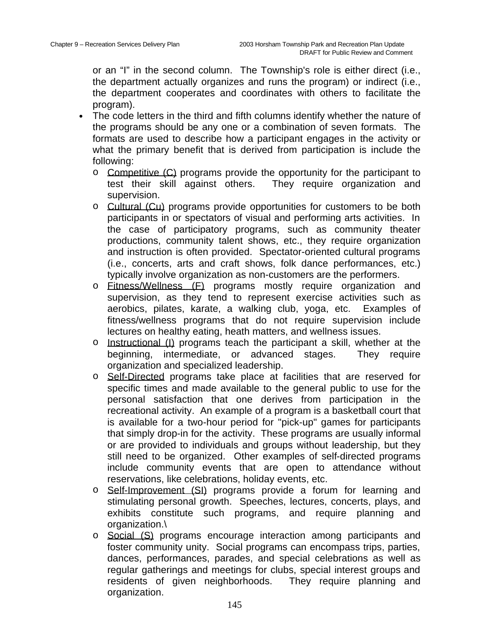or an "I" in the second column. The Township's role is either direct (i.e., the department actually organizes and runs the program) or indirect (i.e., the department cooperates and coordinates with others to facilitate the program).

- The code letters in the third and fifth columns identify whether the nature of the programs should be any one or a combination of seven formats. The formats are used to describe how a participant engages in the activity or what the primary benefit that is derived from participation is include the following:
	- $\circ$  Competitive  $(C)$  programs provide the opportunity for the participant to test their skill against others. They require organization and supervision.
	- o Cultural (Cu) programs provide opportunities for customers to be both participants in or spectators of visual and performing arts activities. In the case of participatory programs, such as community theater productions, community talent shows, etc., they require organization and instruction is often provided. Spectator-oriented cultural programs (i.e., concerts, arts and craft shows, folk dance performances, etc.) typically involve organization as non-customers are the performers.
	- o Fitness/Wellness (F) programs mostly require organization and supervision, as they tend to represent exercise activities such as aerobics, pilates, karate, a walking club, yoga, etc. Examples of fitness/wellness programs that do not require supervision include lectures on healthy eating, heath matters, and wellness issues.
	- o Instructional (I) programs teach the participant a skill, whether at the beginning, intermediate, or advanced stages. They require organization and specialized leadership.
	- o Self-Directed programs take place at facilities that are reserved for specific times and made available to the general public to use for the personal satisfaction that one derives from participation in the recreational activity. An example of a program is a basketball court that is available for a two-hour period for "pick-up" games for participants that simply drop-in for the activity. These programs are usually informal or are provided to individuals and groups without leadership, but they still need to be organized. Other examples of self-directed programs include community events that are open to attendance without reservations, like celebrations, holiday events, etc.
	- o Self-Improvement (SI) programs provide a forum for learning and stimulating personal growth. Speeches, lectures, concerts, plays, and exhibits constitute such programs, and require planning and organization.\
	- o Social (S) programs encourage interaction among participants and foster community unity. Social programs can encompass trips, parties, dances, performances, parades, and special celebrations as well as regular gatherings and meetings for clubs, special interest groups and residents of given neighborhoods. They require planning and organization.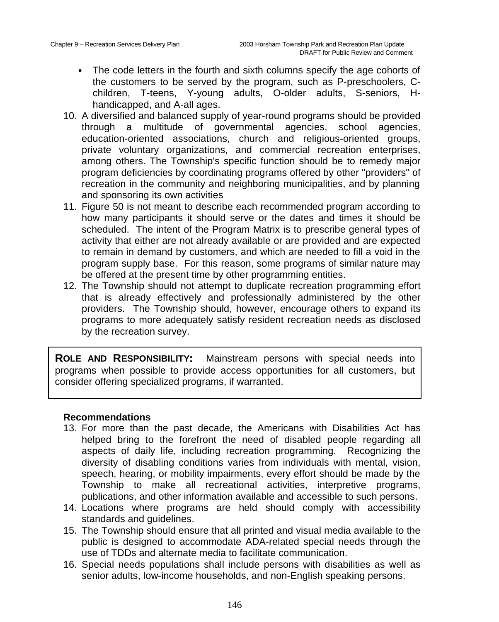- The code letters in the fourth and sixth columns specify the age cohorts of the customers to be served by the program, such as P-preschoolers, Cchildren, T-teens, Y-young adults, O-older adults, S-seniors, Hhandicapped, and A-all ages.
- 10. A diversified and balanced supply of year-round programs should be provided through a multitude of governmental agencies, school agencies, education-oriented associations, church and religious-oriented groups, private voluntary organizations, and commercial recreation enterprises, among others. The Township's specific function should be to remedy major program deficiencies by coordinating programs offered by other "providers" of recreation in the community and neighboring municipalities, and by planning and sponsoring its own activities
- 11. Figure 50 is not meant to describe each recommended program according to how many participants it should serve or the dates and times it should be scheduled. The intent of the Program Matrix is to prescribe general types of activity that either are not already available or are provided and are expected to remain in demand by customers, and which are needed to fill a void in the program supply base. For this reason, some programs of similar nature may be offered at the present time by other programming entities.
- 12. The Township should not attempt to duplicate recreation programming effort that is already effectively and professionally administered by the other providers. The Township should, however, encourage others to expand its programs to more adequately satisfy resident recreation needs as disclosed by the recreation survey.

**ROLE AND RESPONSIBILITY:** Mainstream persons with special needs into programs when possible to provide access opportunities for all customers, but consider offering specialized programs, if warranted.

- 13. For more than the past decade, the Americans with Disabilities Act has helped bring to the forefront the need of disabled people regarding all aspects of daily life, including recreation programming. Recognizing the diversity of disabling conditions varies from individuals with mental, vision, speech, hearing, or mobility impairments, every effort should be made by the Township to make all recreational activities, interpretive programs, publications, and other information available and accessible to such persons.
- 14. Locations where programs are held should comply with accessibility standards and guidelines.
- 15. The Township should ensure that all printed and visual media available to the public is designed to accommodate ADA-related special needs through the use of TDDs and alternate media to facilitate communication.
- 16. Special needs populations shall include persons with disabilities as well as senior adults, low-income households, and non-English speaking persons.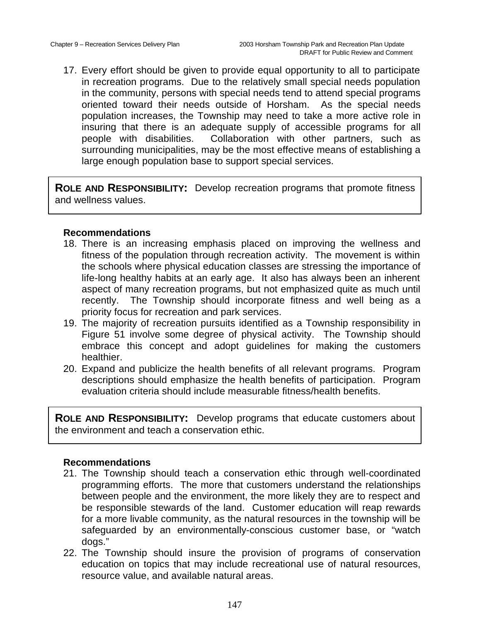17. Every effort should be given to provide equal opportunity to all to participate in recreation programs. Due to the relatively small special needs population in the community, persons with special needs tend to attend special programs oriented toward their needs outside of Horsham. As the special needs population increases, the Township may need to take a more active role in insuring that there is an adequate supply of accessible programs for all people with disabilities. Collaboration with other partners, such as surrounding municipalities, may be the most effective means of establishing a large enough population base to support special services.

**ROLE AND RESPONSIBILITY:** Develop recreation programs that promote fitness and wellness values.

### **Recommendations**

- 18. There is an increasing emphasis placed on improving the wellness and fitness of the population through recreation activity. The movement is within the schools where physical education classes are stressing the importance of life-long healthy habits at an early age. It also has always been an inherent aspect of many recreation programs, but not emphasized quite as much until recently. The Township should incorporate fitness and well being as a priority focus for recreation and park services.
- 19. The majority of recreation pursuits identified as a Township responsibility in Figure 51 involve some degree of physical activity. The Township should embrace this concept and adopt guidelines for making the customers healthier.
- 20. Expand and publicize the health benefits of all relevant programs. Program descriptions should emphasize the health benefits of participation. Program evaluation criteria should include measurable fitness/health benefits.

**ROLE AND RESPONSIBILITY:** Develop programs that educate customers about the environment and teach a conservation ethic.

- 21. The Township should teach a conservation ethic through well-coordinated programming efforts. The more that customers understand the relationships between people and the environment, the more likely they are to respect and be responsible stewards of the land. Customer education will reap rewards for a more livable community, as the natural resources in the township will be safeguarded by an environmentally-conscious customer base, or "watch dogs."
- 22. The Township should insure the provision of programs of conservation education on topics that may include recreational use of natural resources, resource value, and available natural areas.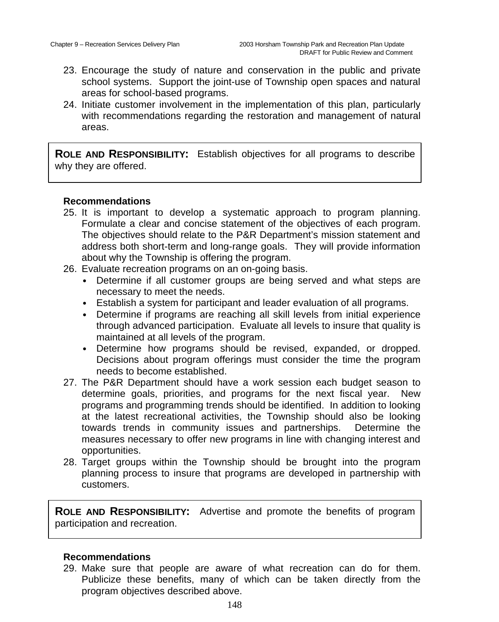- 23. Encourage the study of nature and conservation in the public and private school systems. Support the joint-use of Township open spaces and natural areas for school-based programs.
- 24. Initiate customer involvement in the implementation of this plan, particularly with recommendations regarding the restoration and management of natural areas.

**ROLE AND RESPONSIBILITY:** Establish objectives for all programs to describe why they are offered.

### **Recommendations**

- 25. It is important to develop a systematic approach to program planning. Formulate a clear and concise statement of the objectives of each program. The objectives should relate to the P&R Department's mission statement and address both short-term and long-range goals. They will provide information about why the Township is offering the program.
- 26. Evaluate recreation programs on an on-going basis.
	- Determine if all customer groups are being served and what steps are necessary to meet the needs.
	- Establish a system for participant and leader evaluation of all programs.
	- Determine if programs are reaching all skill levels from initial experience through advanced participation. Evaluate all levels to insure that quality is maintained at all levels of the program.
	- Determine how programs should be revised, expanded, or dropped. Decisions about program offerings must consider the time the program needs to become established.
- 27. The P&R Department should have a work session each budget season to determine goals, priorities, and programs for the next fiscal year. New programs and programming trends should be identified. In addition to looking at the latest recreational activities, the Township should also be looking towards trends in community issues and partnerships. Determine the measures necessary to offer new programs in line with changing interest and opportunities.
- 28. Target groups within the Township should be brought into the program planning process to insure that programs are developed in partnership with customers.

**ROLE AND RESPONSIBILITY:** Advertise and promote the benefits of program participation and recreation.

### **Recommendations**

29. Make sure that people are aware of what recreation can do for them. Publicize these benefits, many of which can be taken directly from the program objectives described above.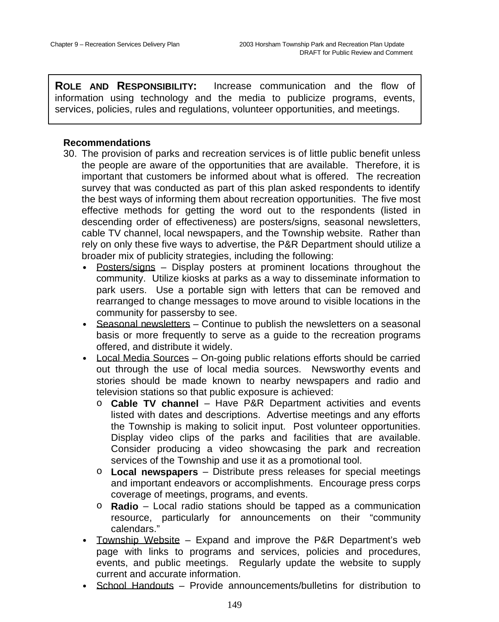**ROLE AND RESPONSIBILITY:** Increase communication and the flow of information using technology and the media to publicize programs, events, services, policies, rules and regulations, volunteer opportunities, and meetings.

- 30. The provision of parks and recreation services is of little public benefit unless the people are aware of the opportunities that are available. Therefore, it is important that customers be informed about what is offered. The recreation survey that was conducted as part of this plan asked respondents to identify the best ways of informing them about recreation opportunities. The five most effective methods for getting the word out to the respondents (listed in descending order of effectiveness) are posters/signs, seasonal newsletters, cable TV channel, local newspapers, and the Township website. Rather than rely on only these five ways to advertise, the P&R Department should utilize a broader mix of publicity strategies, including the following:
	- Posters/signs Display posters at prominent locations throughout the community. Utilize kiosks at parks as a way to disseminate information to park users. Use a portable sign with letters that can be removed and rearranged to change messages to move around to visible locations in the community for passersby to see.
	- Seasonal newsletters Continue to publish the newsletters on a seasonal basis or more frequently to serve as a guide to the recreation programs offered, and distribute it widely.
	- Local Media Sources On-going public relations efforts should be carried out through the use of local media sources. Newsworthy events and stories should be made known to nearby newspapers and radio and television stations so that public exposure is achieved:
		- o **Cable TV channel** Have P&R Department activities and events listed with dates and descriptions. Advertise meetings and any efforts the Township is making to solicit input. Post volunteer opportunities. Display video clips of the parks and facilities that are available. Consider producing a video showcasing the park and recreation services of the Township and use it as a promotional tool.
		- o **Local newspapers** Distribute press releases for special meetings and important endeavors or accomplishments. Encourage press corps coverage of meetings, programs, and events.
		- o **Radio** Local radio stations should be tapped as a communication resource, particularly for announcements on their "community calendars."
	- Township Website Expand and improve the P&R Department's web page with links to programs and services, policies and procedures, events, and public meetings. Regularly update the website to supply current and accurate information.
	- School Handouts Provide announcements/bulletins for distribution to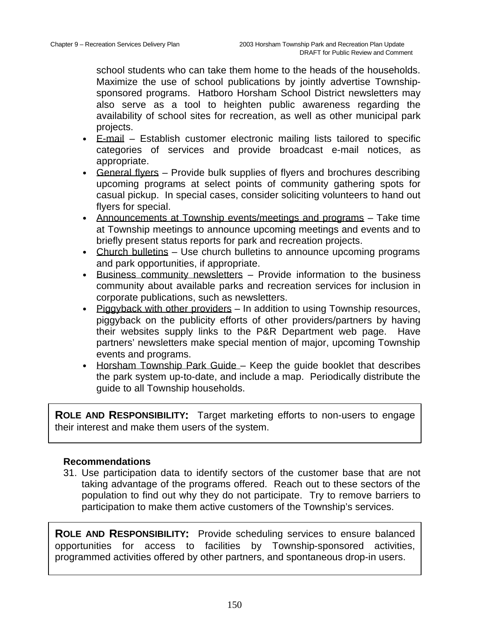school students who can take them home to the heads of the households. Maximize the use of school publications by jointly advertise Townshipsponsored programs. Hatboro Horsham School District newsletters may also serve as a tool to heighten public awareness regarding the availability of school sites for recreation, as well as other municipal park projects.

- E-mail Establish customer electronic mailing lists tailored to specific categories of services and provide broadcast e-mail notices, as appropriate.
- General flyers Provide bulk supplies of flyers and brochures describing upcoming programs at select points of community gathering spots for casual pickup. In special cases, consider soliciting volunteers to hand out flyers for special.
- Announcements at Township events/meetings and programs Take time at Township meetings to announce upcoming meetings and events and to briefly present status reports for park and recreation projects.
- Church bulletins Use church bulletins to announce upcoming programs and park opportunities, if appropriate.
- Business community newsletters Provide information to the business community about available parks and recreation services for inclusion in corporate publications, such as newsletters.
- Piggyback with other providers In addition to using Township resources, piggyback on the publicity efforts of other providers/partners by having their websites supply links to the P&R Department web page. Have partners' newsletters make special mention of major, upcoming Township events and programs.
- Horsham Township Park Guide Keep the guide booklet that describes the park system up-to-date, and include a map. Periodically distribute the guide to all Township households.

**ROLE AND RESPONSIBILITY:** Target marketing efforts to non-users to engage their interest and make them users of the system.

### **Recommendations**

31. Use participation data to identify sectors of the customer base that are not taking advantage of the programs offered. Reach out to these sectors of the population to find out why they do not participate. Try to remove barriers to participation to make them active customers of the Township's services.

**ROLE AND RESPONSIBILITY:** Provide scheduling services to ensure balanced opportunities for access to facilities by Township-sponsored activities, programmed activities offered by other partners, and spontaneous drop-in users.